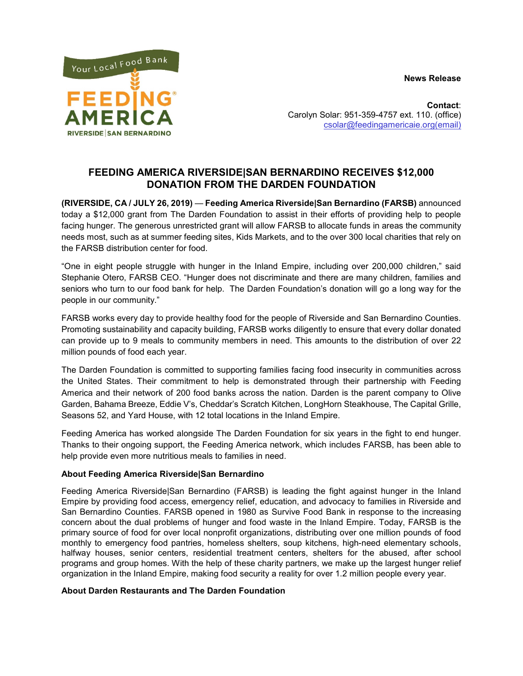**News Release**



**Contact**: Carolyn Solar: 951-359-4757 ext. 110. (office) [csolar@feedingamericaie.org\(email\)](mailto:csolar@feedingamericaie.org(email))

## **FEEDING AMERICA RIVERSIDE|SAN BERNARDINO RECEIVES \$12,000 DONATION FROM THE DARDEN FOUNDATION**

**(RIVERSIDE, CA / JULY 26, 2019)** — **Feeding America Riverside|San Bernardino (FARSB)** announced today a \$12,000 grant from The Darden Foundation to assist in their efforts of providing help to people facing hunger. The generous unrestricted grant will allow FARSB to allocate funds in areas the community needs most, such as at summer feeding sites, Kids Markets, and to the over 300 local charities that rely on the FARSB distribution center for food.

"One in eight people struggle with hunger in the Inland Empire, including over 200,000 children," said Stephanie Otero, FARSB CEO. "Hunger does not discriminate and there are many children, families and seniors who turn to our food bank for help. The Darden Foundation's donation will go a long way for the people in our community."

FARSB works every day to provide healthy food for the people of Riverside and San Bernardino Counties. Promoting sustainability and capacity building, FARSB works diligently to ensure that every dollar donated can provide up to 9 meals to community members in need. This amounts to the distribution of over 22 million pounds of food each year.

The Darden Foundation is committed to supporting families facing food insecurity in communities across the United States. Their commitment to help is demonstrated through their partnership with Feeding America and their network of 200 food banks across the nation. Darden is the parent company to Olive Garden, Bahama Breeze, Eddie V's, Cheddar's Scratch Kitchen, LongHorn Steakhouse, The Capital Grille, Seasons 52, and Yard House, with 12 total locations in the Inland Empire.

Feeding America has worked alongside The Darden Foundation for six years in the fight to end hunger. Thanks to their ongoing support, the Feeding America network, which includes FARSB, has been able to help provide even more nutritious meals to families in need.

## **About Feeding America Riverside|San Bernardino**

Feeding America Riverside|San Bernardino (FARSB) is leading the fight against hunger in the Inland Empire by providing food access, emergency relief, education, and advocacy to families in Riverside and San Bernardino Counties. FARSB opened in 1980 as Survive Food Bank in response to the increasing concern about the dual problems of hunger and food waste in the Inland Empire. Today, FARSB is the primary source of food for over local nonprofit organizations, distributing over one million pounds of food monthly to emergency food pantries, homeless shelters, soup kitchens, high-need elementary schools, halfway houses, senior centers, residential treatment centers, shelters for the abused, after school programs and group homes. With the help of these charity partners, we make up the largest hunger relief organization in the Inland Empire, making food security a reality for over 1.2 million people every year.

## **About Darden Restaurants and The Darden Foundation**